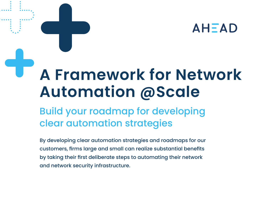# **AHEAD**

# **A Framework for Network Automation @Scale**

Build your roadmap for developing clear automation strategies

By developing clear automation strategies and roadmaps for our customers, firms large and small can realize substantial benefits by taking their first deliberate steps to automating their network and network security infrastructure.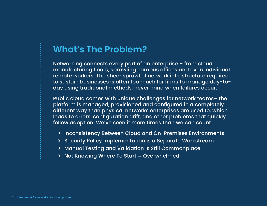### **What's The Problem?**

Networking connects every part of an enterprise – from cloud, manufacturing floors, sprawling campus offices and even individual remote workers. The sheer sprawl of network infrastructure required to sustain businesses is often too much for firms to manage day-today using traditional methods, never mind when failures occur.

Public cloud comes with unique challenges for network teams– the platform is managed, provisioned and configured in a completely different way than physical networks enterprises are used to, which leads to errors, configuration drift, and other problems that quickly follow adoption. We've seen it more times than we can count.

- **>** Inconsistency Between Cloud and On-Premises Environments
- **>** Security Policy Implementation is a Separate Workstream
- **>** Manual Testing and Validation is Still Commonplace
- **>** Not Knowing Where To Start = Overwhelmed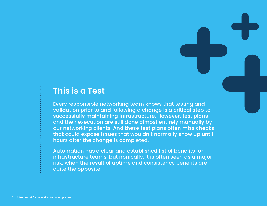#### **This is a Test**

Every responsible networking team knows that testing and validation prior to and following a change is a critical step to successfully maintaining infrastructure. However, test plans and their execution are still done almost entirely manually by our networking clients. And these test plans often miss checks that could expose issues that wouldn't normally show up until hours after the change is completed.

Automation has a clear and established list of benefits for infrastructure teams, but ironically, it is often seen as a major risk, when the result of uptime and consistency benefits are quite the opposite.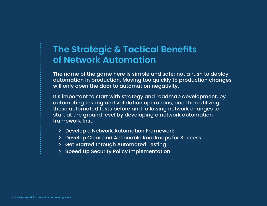# **The Strategic & Tactical Benefits of Network Automation**

The name of the game here is simple and safe; not a rush to deploy automation in production. Moving too quickly to production changes will only open the door to automation negativity.

It's important to start with strategy and roadmap development, by automating testing and validation operations, and then utilizing these automated tests before and following network changes to start at the ground level by developing a network automation framework first.

- > Develop a Network Automation Framework
- > Develop Clear and Actionable Roadmaps for Success
- > Get Started through Automated Testing
- > Speed Up Security Policy Implementation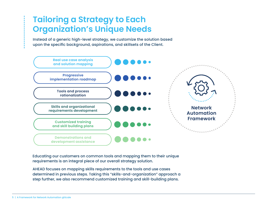## **Tailoring a Strategy to Each Organization's Unique Needs**

Instead of a generic high-level strategy, we customize the solution based upon the specific background, aspirations, and skillsets of the Client.



Educating our customers on common tools and mapping them to their unique requirements is an integral piece of our overall strategy solution.

AHEAD focuses on mapping skills requirements to the tools and use cases determined in previous steps. Taking this "skills-and-organization" approach a step further, we also recommend customized training and skill-building plans.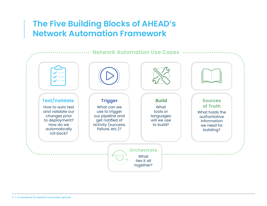## **The Five Building Blocks of AHEAD's Network Automation Framework**

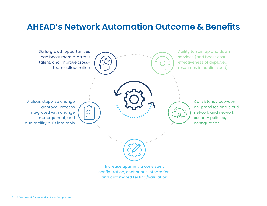#### **AHEAD's Network Automation Outcome & Benefits**

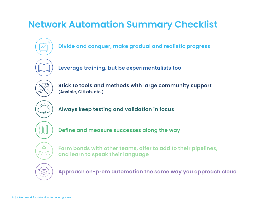# **Network Automation Summary Checklist**

- **Divide and conquer, make gradual and realistic progress**
- **Leverage training, but be experimentalists too**
- 
- **Stick to tools and methods with large community support (Ansible, GitLab, etc.)**
- **Always keep testing and validation in focus**



L ౭<sup>్ర</sup>౭

- **Define and measure successes along the way**
- **Form bonds with other teams, offer to add to their pipelines, and learn to speak their language**



**Approach on-prem automation the same way you approach cloud**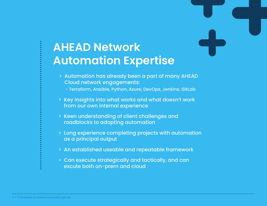# **AHEAD Network Automation Expertise**

- > Automation has already been a part of many AHEAD Cloud network engagements:
	- Terraform, Ansible, Python, Azure, DevOps, Jenkins, GitLab
- > Key insights into what works and what doesn't work from our own internal experience
- > Keen understanding of client challenges and roadblocks to adopting automation
- > Long experience completing projects with automation as a principal output
- > An established useable and repeatable framework
- > Can execute strategically and tactically, and can excute both on-prem and cloud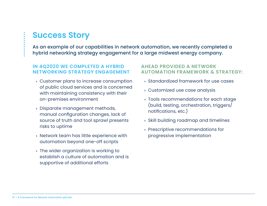### **Success Story**

As an example of our capabilities in network automation, we recently completed a hybrid networking strategy engagement for a large midwest energy company.

#### **IN 4Q2020 WE COMPLETED A HYBRID NETWORKING STRATEGY ENGAGEMENT**

- **<sup>&</sup>gt;**Customer plans to increase consumption of public cloud services and is concerned with maintaining consistency with their on-premises environment
- **<sup>&</sup>gt;**Disparate management methods, manual configuration changes, lack of source of truth and tool sprawl presents risks to uptime
- **<sup>&</sup>gt;**Network team has little experience with automation beyond one-off scripts
- **<sup>&</sup>gt;**The wider organization is working to establish a culture of automation and is supportive of additional efforts

#### **AHEAD PROVIDED A NETWORK AUTOMATION FRAMEWORK & STRATEGY:**

- **<sup>&</sup>gt;**Standardized framework for use cases
- **<sup>&</sup>gt;**Customized use case analysis
- **<sup>&</sup>gt;**Tools recommendations for each stage (build, testing, orchestration, triggers/ notifications, etc.)
- **<sup>&</sup>gt;**Skill building roadmap and timelines
- **<sup>&</sup>gt;**Prescriptive recommendations for progressive implementation